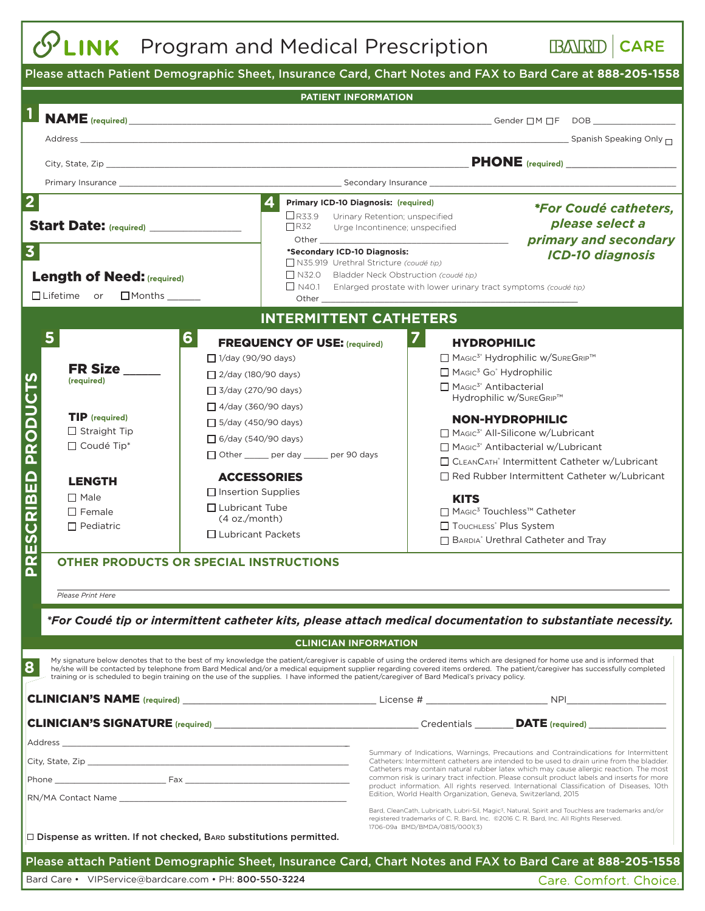## **PLINK** Program and Medical Prescription

**BARD** CARE

| Please attach Patient Demographic Sheet, Insurance Card, Chart Notes and FAX to Bard Care at 888-205-1558                                      |                                                                                                                                                                                                                                 |                                                                                                                                                                                                                                                                                                                                                               |  |  |  |  |  |  |  |
|------------------------------------------------------------------------------------------------------------------------------------------------|---------------------------------------------------------------------------------------------------------------------------------------------------------------------------------------------------------------------------------|---------------------------------------------------------------------------------------------------------------------------------------------------------------------------------------------------------------------------------------------------------------------------------------------------------------------------------------------------------------|--|--|--|--|--|--|--|
| PATIENT INFORMATION                                                                                                                            |                                                                                                                                                                                                                                 |                                                                                                                                                                                                                                                                                                                                                               |  |  |  |  |  |  |  |
| $\mathbf{1}$                                                                                                                                   |                                                                                                                                                                                                                                 |                                                                                                                                                                                                                                                                                                                                                               |  |  |  |  |  |  |  |
|                                                                                                                                                |                                                                                                                                                                                                                                 | Address Spanish Speaking Only not a state of the state of the state of the state of the Spanish Speaking Only n                                                                                                                                                                                                                                               |  |  |  |  |  |  |  |
|                                                                                                                                                |                                                                                                                                                                                                                                 |                                                                                                                                                                                                                                                                                                                                                               |  |  |  |  |  |  |  |
|                                                                                                                                                |                                                                                                                                                                                                                                 |                                                                                                                                                                                                                                                                                                                                                               |  |  |  |  |  |  |  |
|                                                                                                                                                |                                                                                                                                                                                                                                 |                                                                                                                                                                                                                                                                                                                                                               |  |  |  |  |  |  |  |
| $\overline{\mathbf{2}}$                                                                                                                        | $\vert$ 4<br>Primary ICD-10 Diagnosis: (required)                                                                                                                                                                               | <i>*For Coudé catheters,</i>                                                                                                                                                                                                                                                                                                                                  |  |  |  |  |  |  |  |
| <b>Start Date:</b> (required)                                                                                                                  | $\Box$ R33.9 Urinary Retention; unspecified<br>$\Box$ R32<br>Urge Incontinence; unspecified                                                                                                                                     | please select a                                                                                                                                                                                                                                                                                                                                               |  |  |  |  |  |  |  |
|                                                                                                                                                | Other and the control of the control of the control of the control of the control of the control of the control of the control of the control of the control of the control of the control of the control of the control of the | primary and secondary                                                                                                                                                                                                                                                                                                                                         |  |  |  |  |  |  |  |
| 3 <sup>1</sup>                                                                                                                                 | *Secondary ICD-10 Diagnosis:<br>□ N35.919 Urethral Stricture (coudé tip)                                                                                                                                                        | <b>ICD-10 diagnosis</b>                                                                                                                                                                                                                                                                                                                                       |  |  |  |  |  |  |  |
| <b>Length of Need: (required)</b>                                                                                                              | $\Box$ N32.0                                                                                                                                                                                                                    | Bladder Neck Obstruction (coudé tip)                                                                                                                                                                                                                                                                                                                          |  |  |  |  |  |  |  |
| □ Lifetime or □ Months ______                                                                                                                  |                                                                                                                                                                                                                                 | $\Box$ N40.1 Enlarged prostate with lower urinary tract symptoms (coudé tip)                                                                                                                                                                                                                                                                                  |  |  |  |  |  |  |  |
|                                                                                                                                                | Other                                                                                                                                                                                                                           |                                                                                                                                                                                                                                                                                                                                                               |  |  |  |  |  |  |  |
| <b>INTERMITTENT CATHETERS</b><br>5<br>$6 \mid$<br>$\mathbf{7}$                                                                                 |                                                                                                                                                                                                                                 |                                                                                                                                                                                                                                                                                                                                                               |  |  |  |  |  |  |  |
|                                                                                                                                                | <b>FREQUENCY OF USE: (required)</b>                                                                                                                                                                                             | <b>HYDROPHILIC</b><br>□ MAGIC <sup>3</sup> <sup>®</sup> Hydrophilic w/SUREGRIP <sup>™</sup>                                                                                                                                                                                                                                                                   |  |  |  |  |  |  |  |
| FR Size                                                                                                                                        | $\Box$ 1/day (90/90 days)<br>□ 2/day (180/90 days)                                                                                                                                                                              | $\Box$ Magic <sup>3</sup> Go <sup>*</sup> Hydrophilic                                                                                                                                                                                                                                                                                                         |  |  |  |  |  |  |  |
| (required)                                                                                                                                     | $\Box$ 3/day (270/90 days)                                                                                                                                                                                                      | □ MAGIC <sup>3</sup> <sup>®</sup> Antibacterial                                                                                                                                                                                                                                                                                                               |  |  |  |  |  |  |  |
|                                                                                                                                                | $\Box$ 4/day (360/90 days)                                                                                                                                                                                                      | Hydrophilic w/SUREGRIP™                                                                                                                                                                                                                                                                                                                                       |  |  |  |  |  |  |  |
| <b>TIP</b> (required)                                                                                                                          | $\Box$ 5/day (450/90 days)                                                                                                                                                                                                      | <b>NON-HYDROPHILIC</b>                                                                                                                                                                                                                                                                                                                                        |  |  |  |  |  |  |  |
| $\Box$ Straight Tip                                                                                                                            | $\Box$ 6/day (540/90 days)                                                                                                                                                                                                      | MAGIC <sup>3®</sup> All-Silicone w/Lubricant                                                                                                                                                                                                                                                                                                                  |  |  |  |  |  |  |  |
| $\Box$ Coudé Tip*                                                                                                                              | □ Other ______ per day _____ per 90 days                                                                                                                                                                                        | □ MAGIC <sup>3</sup> <sup>®</sup> Antibacterial w/Lubricant                                                                                                                                                                                                                                                                                                   |  |  |  |  |  |  |  |
|                                                                                                                                                |                                                                                                                                                                                                                                 | □ СLEANСАТН® Intermittent Catheter w/Lubricant                                                                                                                                                                                                                                                                                                                |  |  |  |  |  |  |  |
| <b>LENGTH</b>                                                                                                                                  | <b>ACCESSORIES</b>                                                                                                                                                                                                              | Red Rubber Intermittent Catheter w/Lubricant                                                                                                                                                                                                                                                                                                                  |  |  |  |  |  |  |  |
| $\Box$ Male                                                                                                                                    | $\Box$ Insertion Supplies<br>$\Box$ Lubricant Tube                                                                                                                                                                              | <b>KITS</b>                                                                                                                                                                                                                                                                                                                                                   |  |  |  |  |  |  |  |
| $\Box$ Female                                                                                                                                  | (4 oz./month)                                                                                                                                                                                                                   | □ MAGIC <sup>3</sup> Touchless <sup>™</sup> Catheter                                                                                                                                                                                                                                                                                                          |  |  |  |  |  |  |  |
| $\Box$ Pediatric                                                                                                                               | □ Lubricant Packets                                                                                                                                                                                                             | TOUCHLESS® Plus System<br>BARDIA <sup>®</sup> Urethral Catheter and Tray                                                                                                                                                                                                                                                                                      |  |  |  |  |  |  |  |
| RESCRIBED PRODUCTS<br><b>OTHER PRODUCTS OR SPECIAL INSTRUCTIONS</b>                                                                            |                                                                                                                                                                                                                                 |                                                                                                                                                                                                                                                                                                                                                               |  |  |  |  |  |  |  |
| $\overline{\mathbf{a}}$                                                                                                                        |                                                                                                                                                                                                                                 |                                                                                                                                                                                                                                                                                                                                                               |  |  |  |  |  |  |  |
| Please Print Here                                                                                                                              |                                                                                                                                                                                                                                 |                                                                                                                                                                                                                                                                                                                                                               |  |  |  |  |  |  |  |
|                                                                                                                                                |                                                                                                                                                                                                                                 |                                                                                                                                                                                                                                                                                                                                                               |  |  |  |  |  |  |  |
|                                                                                                                                                |                                                                                                                                                                                                                                 | *For Coudé tip or intermittent catheter kits, please attach medical documentation to substantiate necessity.                                                                                                                                                                                                                                                  |  |  |  |  |  |  |  |
|                                                                                                                                                | <b>CLINICIAN INFORMATION</b>                                                                                                                                                                                                    |                                                                                                                                                                                                                                                                                                                                                               |  |  |  |  |  |  |  |
| 8                                                                                                                                              |                                                                                                                                                                                                                                 | My signature below denotes that to the best of my knowledge the patient/caregiver is capable of using the ordered items which are designed for home use and is informed that<br>he/she will be contacted by telephone from Bard Medical and/or a medical equipment supplier regarding covered items ordered. The patient/caregiver has successfully completed |  |  |  |  |  |  |  |
| training or is scheduled to begin training on the use of the supplies. I have informed the patient/caregiver of Bard Medical's privacy policy. |                                                                                                                                                                                                                                 |                                                                                                                                                                                                                                                                                                                                                               |  |  |  |  |  |  |  |
|                                                                                                                                                |                                                                                                                                                                                                                                 |                                                                                                                                                                                                                                                                                                                                                               |  |  |  |  |  |  |  |
|                                                                                                                                                |                                                                                                                                                                                                                                 |                                                                                                                                                                                                                                                                                                                                                               |  |  |  |  |  |  |  |
|                                                                                                                                                |                                                                                                                                                                                                                                 |                                                                                                                                                                                                                                                                                                                                                               |  |  |  |  |  |  |  |
|                                                                                                                                                |                                                                                                                                                                                                                                 | Summary of Indications, Warnings, Precautions and Contraindications for Intermittent<br>Catheters: Intermittent catheters are intended to be used to drain urine from the bladder.                                                                                                                                                                            |  |  |  |  |  |  |  |
|                                                                                                                                                |                                                                                                                                                                                                                                 | Catheters may contain natural rubber latex which may cause allergic reaction. The most<br>common risk is urinary tract infection. Please consult product labels and inserts for more                                                                                                                                                                          |  |  |  |  |  |  |  |
|                                                                                                                                                |                                                                                                                                                                                                                                 | product information. All rights reserved. International Classification of Diseases, 10th<br>Edition, World Health Organization, Geneva, Switzerland, 2015                                                                                                                                                                                                     |  |  |  |  |  |  |  |
|                                                                                                                                                |                                                                                                                                                                                                                                 | Bard, CleanCath, Lubricath, Lubri-Sil, Magic <sup>3</sup> , Natural, Spirit and Touchless are trademarks and/or                                                                                                                                                                                                                                               |  |  |  |  |  |  |  |
|                                                                                                                                                |                                                                                                                                                                                                                                 | registered trademarks of C. R. Bard, Inc. ©2016 C. R. Bard, Inc. All Rights Reserved.<br>1706-09a BMD/BMDA/0815/0001(3)                                                                                                                                                                                                                                       |  |  |  |  |  |  |  |
| $\Box$ Dispense as written. If not checked, BARD substitutions permitted.                                                                      |                                                                                                                                                                                                                                 |                                                                                                                                                                                                                                                                                                                                                               |  |  |  |  |  |  |  |
| Please attach Patient Demographic Sheet, Insurance Card, Chart Notes and FAX to Bard Care at 888-205-1558                                      |                                                                                                                                                                                                                                 |                                                                                                                                                                                                                                                                                                                                                               |  |  |  |  |  |  |  |
| Bard Care • VIPService@bardcare.com • PH: 800-550-3224                                                                                         |                                                                                                                                                                                                                                 | Care. Comfort. Choice.                                                                                                                                                                                                                                                                                                                                        |  |  |  |  |  |  |  |